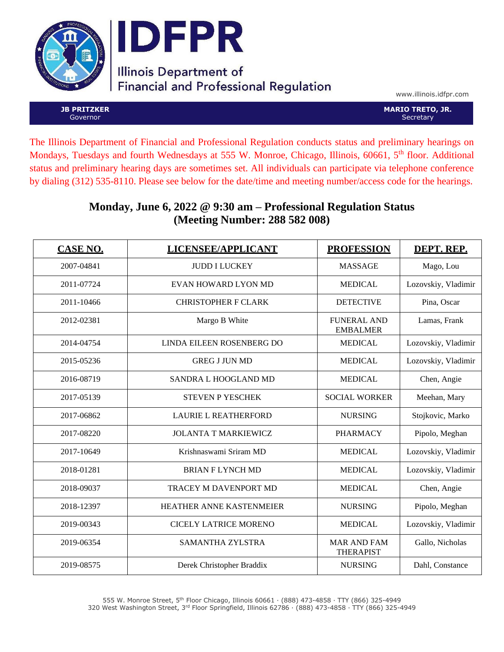



# **Illinois Department of Financial and Professional Regulation**

www.illinois.idfpr.com

**JB PRITZKER** Governor

**MARIO TRETO, JR. Secretary** 

The Illinois Department of Financial and Professional Regulation conducts status and preliminary hearings on Mondays, Tuesdays and fourth Wednesdays at 555 W. Monroe, Chicago, Illinois, 60661, 5<sup>th</sup> floor. Additional status and preliminary hearing days are sometimes set. All individuals can participate via telephone conference by dialing (312) 535-8110. Please see below for the date/time and meeting number/access code for the hearings.

#### **Monday, June 6, 2022 @ 9:30 am – Professional Regulation Status (Meeting Number: 288 582 008)**

| CASE NO.   | LICENSEE/APPLICANT           | <b>PROFESSION</b>                      | DEPT. REP.          |
|------------|------------------------------|----------------------------------------|---------------------|
| 2007-04841 | <b>JUDD I LUCKEY</b>         | <b>MASSAGE</b>                         | Mago, Lou           |
| 2011-07724 | EVAN HOWARD LYON MD          | <b>MEDICAL</b>                         | Lozovskiy, Vladimir |
| 2011-10466 | <b>CHRISTOPHER F CLARK</b>   | <b>DETECTIVE</b>                       | Pina, Oscar         |
| 2012-02381 | Margo B White                | <b>FUNERAL AND</b><br><b>EMBALMER</b>  | Lamas, Frank        |
| 2014-04754 | LINDA EILEEN ROSENBERG DO    | <b>MEDICAL</b>                         | Lozovskiy, Vladimir |
| 2015-05236 | <b>GREG J JUN MD</b>         | <b>MEDICAL</b>                         | Lozovskiy, Vladimir |
| 2016-08719 | SANDRA L HOOGLAND MD         | <b>MEDICAL</b>                         | Chen, Angie         |
| 2017-05139 | <b>STEVEN P YESCHEK</b>      | <b>SOCIAL WORKER</b>                   | Meehan, Mary        |
| 2017-06862 | <b>LAURIE L REATHERFORD</b>  | <b>NURSING</b>                         | Stojkovic, Marko    |
| 2017-08220 | <b>JOLANTA T MARKIEWICZ</b>  | <b>PHARMACY</b>                        | Pipolo, Meghan      |
| 2017-10649 | Krishnaswami Sriram MD       | <b>MEDICAL</b>                         | Lozovskiy, Vladimir |
| 2018-01281 | <b>BRIAN F LYNCH MD</b>      | <b>MEDICAL</b>                         | Lozovskiy, Vladimir |
| 2018-09037 | TRACEY M DAVENPORT MD        | <b>MEDICAL</b>                         | Chen, Angie         |
| 2018-12397 | HEATHER ANNE KASTENMEIER     | <b>NURSING</b>                         | Pipolo, Meghan      |
| 2019-00343 | <b>CICELY LATRICE MORENO</b> | <b>MEDICAL</b>                         | Lozovskiy, Vladimir |
| 2019-06354 | SAMANTHA ZYLSTRA             | <b>MAR AND FAM</b><br><b>THERAPIST</b> | Gallo, Nicholas     |
| 2019-08575 | Derek Christopher Braddix    | <b>NURSING</b>                         | Dahl, Constance     |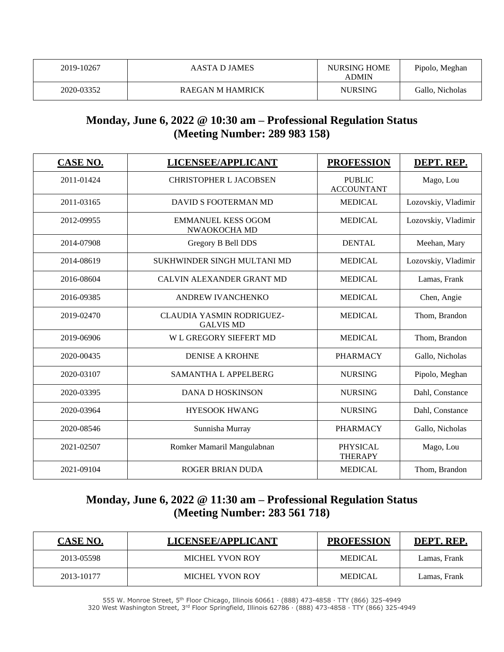| 2019-10267 | AASTA D JAMES    | <b>NURSING HOME</b><br><b>ADMIN</b> | Pipolo, Meghan  |
|------------|------------------|-------------------------------------|-----------------|
| 2020-03352 | RAEGAN M HAMRICK | <b>NURSING</b>                      | Gallo, Nicholas |

### **Monday, June 6, 2022 @ 10:30 am – Professional Regulation Status (Meeting Number: 289 983 158)**

| <b>CASE NO.</b> | LICENSEE/APPLICANT                                   | <b>PROFESSION</b>                  | DEPT. REP.          |
|-----------------|------------------------------------------------------|------------------------------------|---------------------|
| 2011-01424      | <b>CHRISTOPHER L JACOBSEN</b>                        | <b>PUBLIC</b><br><b>ACCOUNTANT</b> | Mago, Lou           |
| 2011-03165      | DAVID S FOOTERMAN MD                                 | <b>MEDICAL</b>                     | Lozovskiy, Vladimir |
| 2012-09955      | <b>EMMANUEL KESS OGOM</b><br>NWAOKOCHA MD            | <b>MEDICAL</b>                     | Lozovskiy, Vladimir |
| 2014-07908      | Gregory B Bell DDS                                   | <b>DENTAL</b>                      | Meehan, Mary        |
| 2014-08619      | SUKHWINDER SINGH MULTANI MD                          | <b>MEDICAL</b>                     | Lozovskiy, Vladimir |
| 2016-08604      | CALVIN ALEXANDER GRANT MD                            | <b>MEDICAL</b>                     | Lamas, Frank        |
| 2016-09385      | ANDREW IVANCHENKO                                    | <b>MEDICAL</b>                     | Chen, Angie         |
| 2019-02470      | <b>CLAUDIA YASMIN RODRIGUEZ-</b><br><b>GALVIS MD</b> | <b>MEDICAL</b>                     | Thom, Brandon       |
| 2019-06906      | W L GREGORY SIEFERT MD                               | <b>MEDICAL</b>                     | Thom, Brandon       |
| 2020-00435      | <b>DENISE A KROHNE</b>                               | <b>PHARMACY</b>                    | Gallo, Nicholas     |
| 2020-03107      | <b>SAMANTHA L APPELBERG</b>                          | <b>NURSING</b>                     | Pipolo, Meghan      |
| 2020-03395      | <b>DANA D HOSKINSON</b>                              | <b>NURSING</b>                     | Dahl, Constance     |
| 2020-03964      | <b>HYESOOK HWANG</b>                                 | <b>NURSING</b>                     | Dahl, Constance     |
| 2020-08546      | Sunnisha Murray                                      | <b>PHARMACY</b>                    | Gallo, Nicholas     |
| 2021-02507      | Romker Mamaril Mangulabnan                           | <b>PHYSICAL</b><br><b>THERAPY</b>  | Mago, Lou           |
| 2021-09104      | <b>ROGER BRIAN DUDA</b>                              | <b>MEDICAL</b>                     | Thom, Brandon       |

### **Monday, June 6, 2022 @ 11:30 am – Professional Regulation Status (Meeting Number: 283 561 718)**

| <b>CASE NO.</b> | LICENSEE/APPLICANT     | <b>PROFESSION</b> | DEPT. REP.   |
|-----------------|------------------------|-------------------|--------------|
| 2013-05598      | <b>MICHEL YVON ROY</b> | <b>MEDICAL</b>    | Lamas, Frank |
| 2013-10177      | MICHEL YVON ROY        | <b>MEDICAL</b>    | Lamas, Frank |

555 W. Monroe Street, 5th Floor Chicago, Illinois 60661 ∙ (888) 473-4858 ∙ TTY (866) 325-4949 320 West Washington Street, 3rd Floor Springfield, Illinois 62786 ∙ (888) 473-4858 ∙ TTY (866) 325-4949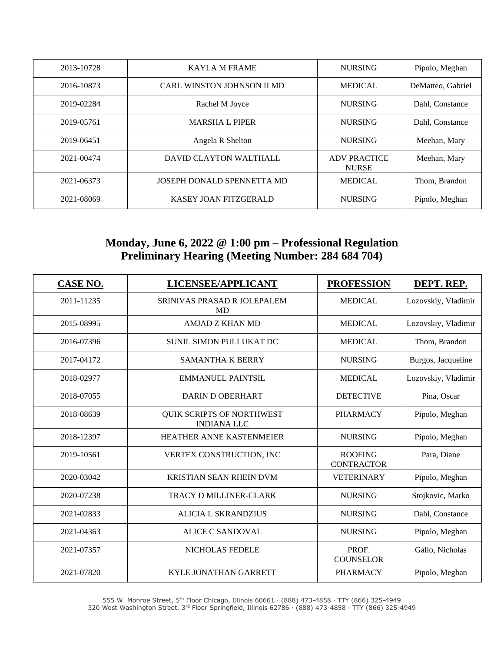| 2013-10728 | <b>KAYLA M FRAME</b>                           | <b>NURSING</b>                      | Pipolo, Meghan    |
|------------|------------------------------------------------|-------------------------------------|-------------------|
| 2016-10873 | <b>CARL WINSTON JOHNSON II MD</b>              | <b>MEDICAL</b>                      | DeMatteo, Gabriel |
| 2019-02284 | Rachel M Joyce                                 | <b>NURSING</b>                      | Dahl, Constance   |
| 2019-05761 | <b>MARSHA L PIPER</b>                          | <b>NURSING</b>                      | Dahl. Constance   |
| 2019-06451 | Angela R Shelton                               | <b>NURSING</b>                      | Meehan, Mary      |
| 2021-00474 | DAVID CLAYTON WALTHALL                         | <b>ADV PRACTICE</b><br><b>NURSE</b> | Meehan, Mary      |
| 2021-06373 | JOSEPH DONALD SPENNETTA MD                     | <b>MEDICAL</b>                      | Thom, Brandon     |
| 2021-08069 | <b>KASEY JOAN FITZGERALD</b><br><b>NURSING</b> |                                     | Pipolo, Meghan    |

### **Monday, June 6, 2022 @ 1:00 pm – Professional Regulation Preliminary Hearing (Meeting Number: 284 684 704)**

| <b>CASE NO.</b> | LICENSEE/APPLICANT                                     | <b>PROFESSION</b> | DEPT. REP.          |
|-----------------|--------------------------------------------------------|-------------------|---------------------|
| 2011-11235      | SRINIVAS PRASAD R JOLEPALEM<br><b>MD</b>               | <b>MEDICAL</b>    | Lozovskiy, Vladimir |
| 2015-08995      | <b>AMJAD Z KHAN MD</b>                                 | <b>MEDICAL</b>    | Lozovskiy, Vladimir |
| 2016-07396      | SUNIL SIMON PULLUKAT DC                                | <b>MEDICAL</b>    | Thom, Brandon       |
| 2017-04172      | <b>SAMANTHA K BERRY</b>                                | <b>NURSING</b>    | Burgos, Jacqueline  |
| 2018-02977      | <b>EMMANUEL PAINTSIL</b>                               | <b>MEDICAL</b>    | Lozovskiy, Vladimir |
| 2018-07055      | DARIN D OBERHART                                       | <b>DETECTIVE</b>  | Pina, Oscar         |
| 2018-08639      | <b>QUIK SCRIPTS OF NORTHWEST</b><br><b>INDIANA LLC</b> | <b>PHARMACY</b>   | Pipolo, Meghan      |
| 2018-12397      | HEATHER ANNE KASTENMEIER                               | <b>NURSING</b>    | Pipolo, Meghan      |
| 2019-10561      | VERTEX CONSTRUCTION, INC                               |                   | Para, Diane         |
| 2020-03042      | <b>KRISTIAN SEAN RHEIN DVM</b>                         | <b>VETERINARY</b> | Pipolo, Meghan      |
| 2020-07238      | <b>TRACY D MILLINER-CLARK</b>                          | <b>NURSING</b>    | Stojkovic, Marko    |
| 2021-02833      | <b>ALICIA L SKRANDZIUS</b>                             | <b>NURSING</b>    | Dahl, Constance     |
| 2021-04363      | <b>ALICE C SANDOVAL</b>                                | <b>NURSING</b>    | Pipolo, Meghan      |
| 2021-07357      | NICHOLAS FEDELE                                        |                   | Gallo, Nicholas     |
| 2021-07820      | <b>KYLE JONATHAN GARRETT</b>                           | <b>PHARMACY</b>   | Pipolo, Meghan      |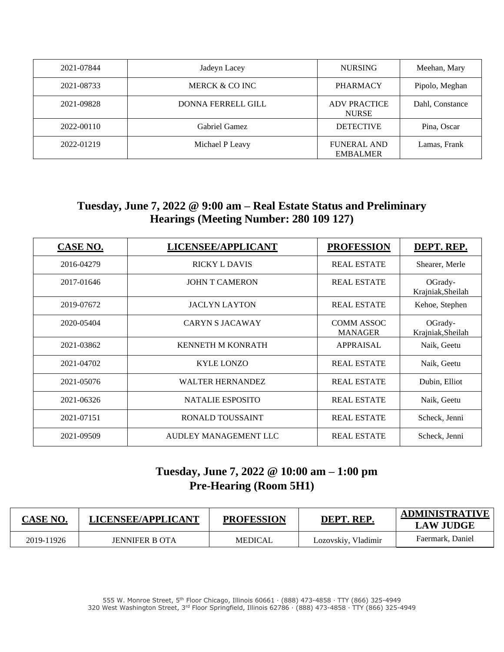| 2021-07844 | Jadeyn Lacey              | <b>NURSING</b>                        | Meehan, Mary    |
|------------|---------------------------|---------------------------------------|-----------------|
| 2021-08733 | MERCK & CO INC            | <b>PHARMACY</b>                       | Pipolo, Meghan  |
| 2021-09828 | <b>DONNA FERRELL GILL</b> | <b>ADV PRACTICE</b><br><b>NURSE</b>   | Dahl, Constance |
| 2022-00110 | Gabriel Gamez             | <b>DETECTIVE</b>                      | Pina, Oscar     |
| 2022-01219 | Michael P Leavy           | <b>FUNERAL AND</b><br><b>EMBALMER</b> | Lamas, Frank    |

### **Tuesday, June 7, 2022 @ 9:00 am – Real Estate Status and Preliminary Hearings (Meeting Number: 280 109 127)**

| <b>CASE NO.</b> | LICENSEE/APPLICANT       | <b>PROFESSION</b>                   | DEPT. REP.                   |
|-----------------|--------------------------|-------------------------------------|------------------------------|
| 2016-04279      | <b>RICKY L DAVIS</b>     | <b>REAL ESTATE</b>                  | Shearer, Merle               |
| 2017-01646      | <b>JOHN T CAMERON</b>    | <b>REAL ESTATE</b>                  | OGrady-<br>Krajniak, Sheilah |
| 2019-07672      | <b>JACLYN LAYTON</b>     | <b>REAL ESTATE</b>                  | Kehoe, Stephen               |
| 2020-05404      | <b>CARYN S JACAWAY</b>   | <b>COMM ASSOC</b><br><b>MANAGER</b> | OGrady-<br>Krajniak, Sheilah |
| 2021-03862      | <b>KENNETH M KONRATH</b> | <b>APPRAISAL</b>                    | Naik, Geetu                  |
| 2021-04702      | <b>KYLE LONZO</b>        | <b>REAL ESTATE</b>                  | Naik, Geetu                  |
| 2021-05076      | <b>WALTER HERNANDEZ</b>  | <b>REAL ESTATE</b>                  | Dubin, Elliot                |
| 2021-06326      | <b>NATALIE ESPOSITO</b>  | <b>REAL ESTATE</b>                  | Naik, Geetu                  |
| 2021-07151      | RONALD TOUSSAINT         | <b>REAL ESTATE</b>                  | Scheck, Jenni                |
| 2021-09509      | AUDLEY MANAGEMENT LLC    | <b>REAL ESTATE</b>                  | Scheck, Jenni                |

### **Tuesday, June 7, 2022 @ 10:00 am – 1:00 pm Pre-Hearing (Room 5H1)**

| <b>CASE NO.</b> | <b>LICENSEE/APPLICANT</b> | <b>PROFESSION</b> | DEPT. REP.          | <b>ADMINISTRATIVE</b><br><b>LAW JUDGE</b> |
|-----------------|---------------------------|-------------------|---------------------|-------------------------------------------|
| 2019-11926      | <b>JENNIFER B OTA</b>     | <b>MEDICAL</b>    | Lozovskiy, Vladimir | Faermark, Daniel                          |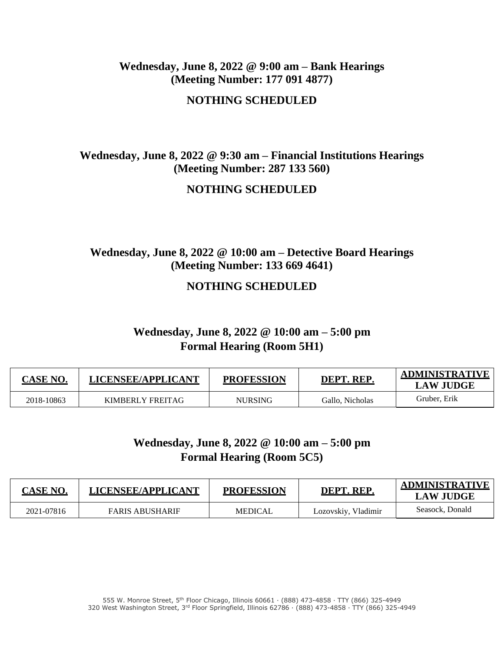#### **Wednesday, June 8, 2022 @ 9:00 am – Bank Hearings (Meeting Number: 177 091 4877)**

**NOTHING SCHEDULED**

#### **Wednesday, June 8, 2022 @ 9:30 am – Financial Institutions Hearings (Meeting Number: 287 133 560)**

#### **NOTHING SCHEDULED**

### **Wednesday, June 8, 2022 @ 10:00 am – Detective Board Hearings (Meeting Number: 133 669 4641)**

#### **NOTHING SCHEDULED**

#### **Wednesday, June 8, 2022 @ 10:00 am – 5:00 pm Formal Hearing (Room 5H1)**

| <b>CASE NO.</b> | LICENSEE/APPLICANT | <b>PROFESSION</b> | DEPT. REP.      | <b>ADMINISTRATIVE</b><br><b>LAW JUDGE</b> |
|-----------------|--------------------|-------------------|-----------------|-------------------------------------------|
| 2018-10863      | KIMBERLY FREITAG   | <b>NURSING</b>    | Gallo, Nicholas | Gruber, Erik                              |

### **Wednesday, June 8, 2022 @ 10:00 am – 5:00 pm Formal Hearing (Room 5C5)**

| <b>CASE NO.</b> | LICENSEE/APPLICANT     | <b>PROFESSION</b> | DEPT. REP.          | <b>ADMINISTRATIVE</b><br><b>LAW JUDGE</b> |
|-----------------|------------------------|-------------------|---------------------|-------------------------------------------|
| 2021-07816      | <b>FARIS ABUSHARIF</b> | MEDICAL           | Lozovskiy, Vladimir | Seasock, Donald                           |